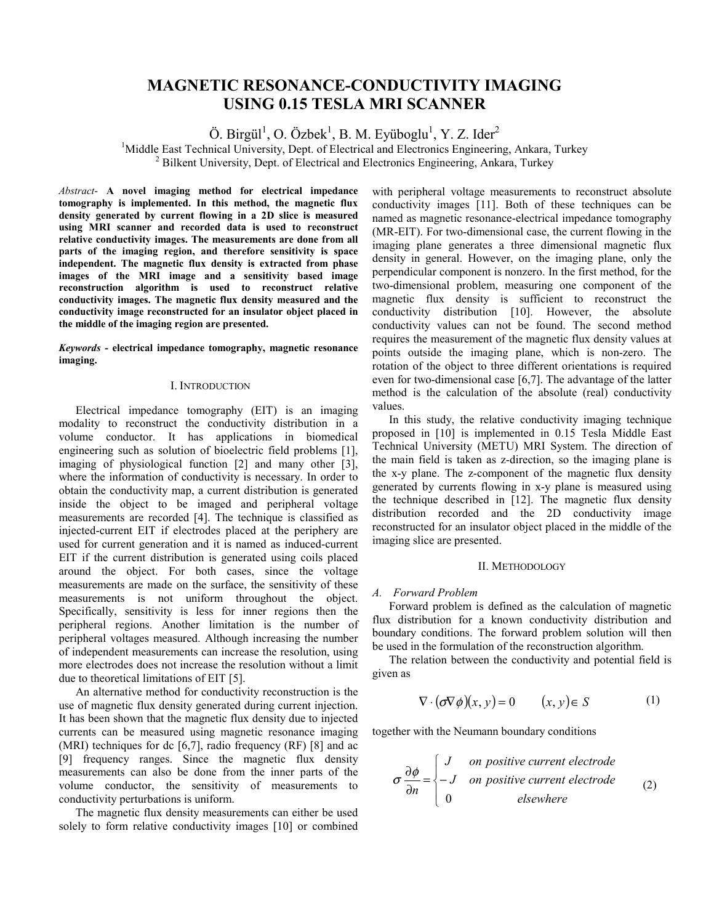# **MAGNETIC RESONANCE-CONDUCTIVITY IMAGING USING 0.15 TESLA MRI SCANNER**

Ö. Birgül<sup>1</sup>, O. Özbek<sup>1</sup>, B. M. Eyüboglu<sup>1</sup>, Y. Z. Ider<sup>2</sup>

<sup>1</sup>Middle East Technical University, Dept. of Electrical and Electronics Engineering, Ankara, Turkey <sup>2</sup> Bilkent University, Dept. of Electrical and Electronics Engineering, Ankara, Turkey

*Abstract*- **A novel imaging method for electrical impedance tomography is implemented. In this method, the magnetic flux density generated by current flowing in a 2D slice is measured using MRI scanner and recorded data is used to reconstruct relative conductivity images. The measurements are done from all parts of the imaging region, and therefore sensitivity is space independent. The magnetic flux density is extracted from phase images of the MRI image and a sensitivity based image reconstruction algorithm is used to reconstruct relative conductivity images. The magnetic flux density measured and the conductivity image reconstructed for an insulator object placed in the middle of the imaging region are presented.** 

*Keywords -* **electrical impedance tomography, magnetic resonance imaging.** 

## I. INTRODUCTION

Electrical impedance tomography (EIT) is an imaging modality to reconstruct the conductivity distribution in a volume conductor. It has applications in biomedical engineering such as solution of bioelectric field problems [1], imaging of physiological function [2] and many other [3], where the information of conductivity is necessary. In order to obtain the conductivity map, a current distribution is generated inside the object to be imaged and peripheral voltage measurements are recorded [4]. The technique is classified as injected-current EIT if electrodes placed at the periphery are used for current generation and it is named as induced-current EIT if the current distribution is generated using coils placed around the object. For both cases, since the voltage measurements are made on the surface, the sensitivity of these measurements is not uniform throughout the object. Specifically, sensitivity is less for inner regions then the peripheral regions. Another limitation is the number of peripheral voltages measured. Although increasing the number of independent measurements can increase the resolution, using more electrodes does not increase the resolution without a limit due to theoretical limitations of EIT [5].

An alternative method for conductivity reconstruction is the use of magnetic flux density generated during current injection. It has been shown that the magnetic flux density due to injected currents can be measured using magnetic resonance imaging (MRI) techniques for dc  $[6,7]$ , radio frequency (RF)  $[8]$  and ac [9] frequency ranges. Since the magnetic flux density measurements can also be done from the inner parts of the volume conductor, the sensitivity of measurements to conductivity perturbations is uniform.

The magnetic flux density measurements can either be used solely to form relative conductivity images [10] or combined with peripheral voltage measurements to reconstruct absolute conductivity images [11]. Both of these techniques can be named as magnetic resonance-electrical impedance tomography (MR-EIT). For two-dimensional case, the current flowing in the imaging plane generates a three dimensional magnetic flux density in general. However, on the imaging plane, only the perpendicular component is nonzero. In the first method, for the two-dimensional problem, measuring one component of the magnetic flux density is sufficient to reconstruct the conductivity distribution [10]. However, the absolute conductivity values can not be found. The second method requires the measurement of the magnetic flux density values at points outside the imaging plane, which is non-zero. The rotation of the object to three different orientations is required even for two-dimensional case [6,7]. The advantage of the latter method is the calculation of the absolute (real) conductivity values.

In this study, the relative conductivity imaging technique proposed in [10] is implemented in 0.15 Tesla Middle East Technical University (METU) MRI System. The direction of the main field is taken as z-direction, so the imaging plane is the x-y plane. The z-component of the magnetic flux density generated by currents flowing in x-y plane is measured using the technique described in [12]. The magnetic flux density distribution recorded and the 2D conductivity image reconstructed for an insulator object placed in the middle of the imaging slice are presented.

#### II. METHODOLOGY

#### *A. Forward Problem*

Forward problem is defined as the calculation of magnetic flux distribution for a known conductivity distribution and boundary conditions. The forward problem solution will then be used in the formulation of the reconstruction algorithm.

The relation between the conductivity and potential field is given as

$$
\nabla \cdot (\sigma \nabla \phi)(x, y) = 0 \qquad (x, y) \in S \tag{1}
$$

together with the Neumann boundary conditions

$$
\sigma \frac{\partial \phi}{\partial n} = \begin{cases}\nJ & \text{on positive current electrode} \\
-J & \text{on positive current electrode} \\
0 & \text{elsewhere}\n\end{cases}
$$
\n(2)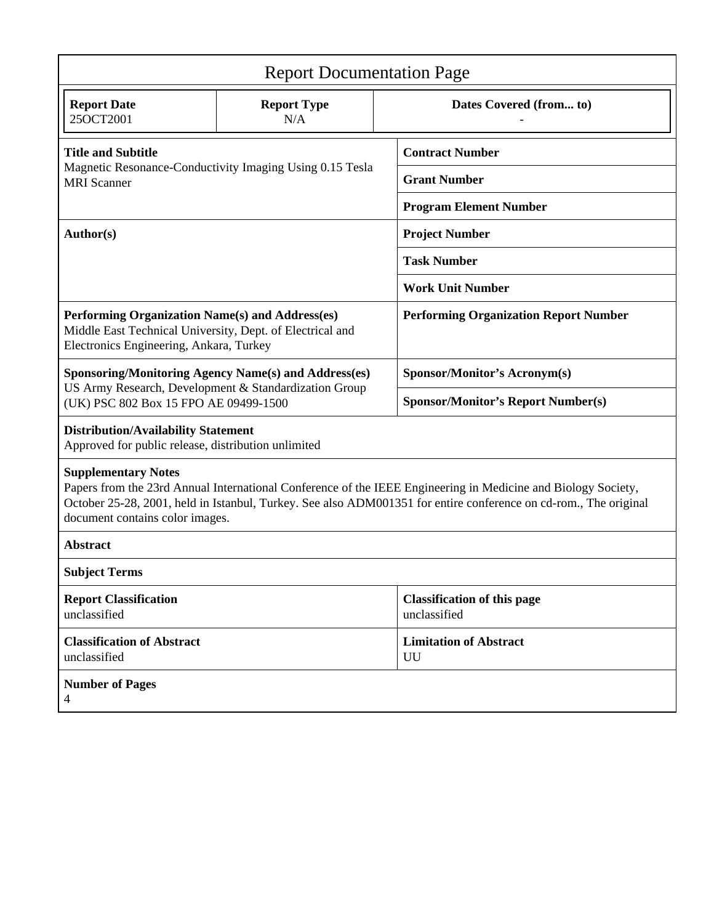| <b>Report Documentation Page</b>                                                                                                                                                                                                                                                                 |                                                          |                                                    |
|--------------------------------------------------------------------------------------------------------------------------------------------------------------------------------------------------------------------------------------------------------------------------------------------------|----------------------------------------------------------|----------------------------------------------------|
| <b>Report Date</b><br>25OCT2001                                                                                                                                                                                                                                                                  | <b>Report Type</b><br>N/A                                | Dates Covered (from to)                            |
| <b>Title and Subtitle</b>                                                                                                                                                                                                                                                                        |                                                          | <b>Contract Number</b>                             |
| <b>MRI</b> Scanner                                                                                                                                                                                                                                                                               | Magnetic Resonance-Conductivity Imaging Using 0.15 Tesla | <b>Grant Number</b>                                |
|                                                                                                                                                                                                                                                                                                  |                                                          | <b>Program Element Number</b>                      |
| Author(s)                                                                                                                                                                                                                                                                                        |                                                          | <b>Project Number</b>                              |
|                                                                                                                                                                                                                                                                                                  |                                                          | <b>Task Number</b>                                 |
|                                                                                                                                                                                                                                                                                                  |                                                          | <b>Work Unit Number</b>                            |
| Performing Organization Name(s) and Address(es)<br>Middle East Technical University, Dept. of Electrical and<br>Electronics Engineering, Ankara, Turkey                                                                                                                                          |                                                          | <b>Performing Organization Report Number</b>       |
| <b>Sponsoring/Monitoring Agency Name(s) and Address(es)</b><br>US Army Research, Development & Standardization Group<br>(UK) PSC 802 Box 15 FPO AE 09499-1500<br><b>Distribution/Availability Statement</b><br>Approved for public release, distribution unlimited<br><b>Supplementary Notes</b> | Sponsor/Monitor's Acronym(s)                             |                                                    |
|                                                                                                                                                                                                                                                                                                  |                                                          | <b>Sponsor/Monitor's Report Number(s)</b>          |
|                                                                                                                                                                                                                                                                                                  |                                                          |                                                    |
| Papers from the 23rd Annual International Conference of the IEEE Engineering in Medicine and Biology Society,<br>October 25-28, 2001, held in Istanbul, Turkey. See also ADM001351 for entire conference on cd-rom., The original<br>document contains color images.                             |                                                          |                                                    |
| <b>Abstract</b>                                                                                                                                                                                                                                                                                  |                                                          |                                                    |
| <b>Subject Terms</b>                                                                                                                                                                                                                                                                             |                                                          |                                                    |
| <b>Report Classification</b><br>unclassified                                                                                                                                                                                                                                                     |                                                          | <b>Classification of this page</b><br>unclassified |
| <b>Classification of Abstract</b><br>unclassified                                                                                                                                                                                                                                                |                                                          | <b>Limitation of Abstract</b><br>UU                |
| <b>Number of Pages</b><br>4                                                                                                                                                                                                                                                                      |                                                          |                                                    |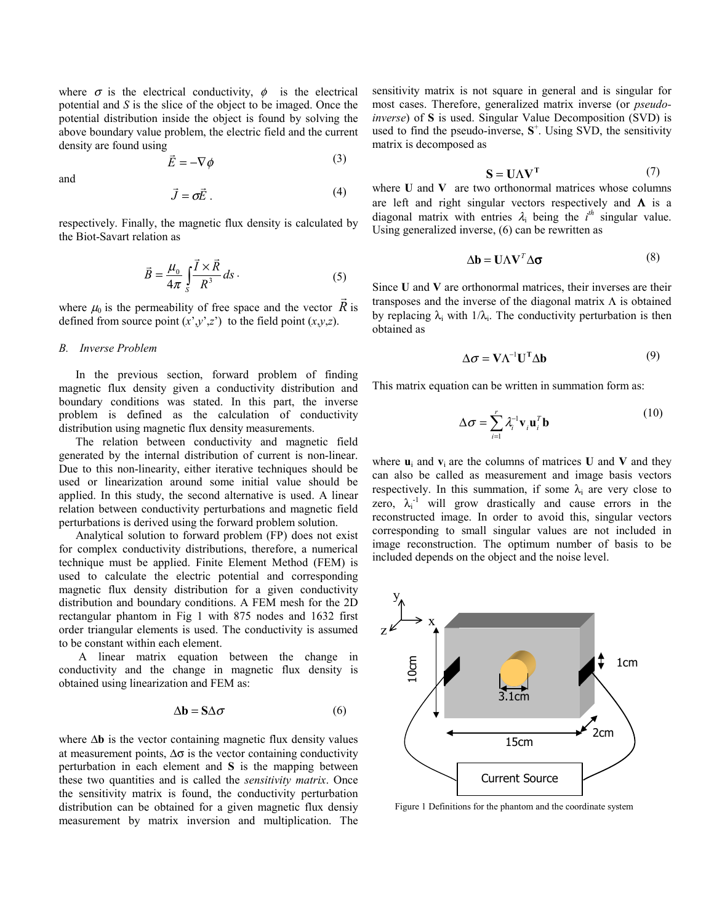where  $\sigma$  is the electrical conductivity,  $\phi$  is the electrical potential and *S* is the slice of the object to be imaged. Once the potential distribution inside the object is found by solving the above boundary value problem, the electric field and the current density are found using

$$
\vec{E} = -\nabla \phi \tag{3}
$$

and

$$
\vec{J} = \sigma \vec{E} \tag{4}
$$

respectively. Finally, the magnetic flux density is calculated by the Biot-Savart relation as

$$
\vec{B} = \frac{\mu_0}{4\pi} \int_{S} \frac{\vec{I} \times \vec{R}}{R^3} ds \,. \tag{5}
$$

where  $\mu_0$  is the permeability of free space and the vector  $\vec{R}$  is defined from source point  $(x', y', z')$  to the field point  $(x, y, z)$ .

## *B. Inverse Problem*

In the previous section, forward problem of finding magnetic flux density given a conductivity distribution and boundary conditions was stated. In this part, the inverse problem is defined as the calculation of conductivity distribution using magnetic flux density measurements.

The relation between conductivity and magnetic field generated by the internal distribution of current is non-linear. Due to this non-linearity, either iterative techniques should be used or linearization around some initial value should be applied. In this study, the second alternative is used. A linear relation between conductivity perturbations and magnetic field perturbations is derived using the forward problem solution.

Analytical solution to forward problem (FP) does not exist for complex conductivity distributions, therefore, a numerical technique must be applied. Finite Element Method (FEM) is used to calculate the electric potential and corresponding magnetic flux density distribution for a given conductivity distribution and boundary conditions. A FEM mesh for the 2D rectangular phantom in Fig 1 with 875 nodes and 1632 first order triangular elements is used. The conductivity is assumed to be constant within each element.

 A linear matrix equation between the change in conductivity and the change in magnetic flux density is obtained using linearization and FEM as:

$$
\Delta \mathbf{b} = \mathbf{S} \Delta \boldsymbol{\sigma} \tag{6}
$$

where ∆**b** is the vector containing magnetic flux density values at measurement points,  $\Delta \sigma$  is the vector containing conductivity perturbation in each element and **S** is the mapping between these two quantities and is called the *sensitivity matrix*. Once the sensitivity matrix is found, the conductivity perturbation distribution can be obtained for a given magnetic flux densiy measurement by matrix inversion and multiplication. The sensitivity matrix is not square in general and is singular for most cases. Therefore, generalized matrix inverse (or *pseudoinverse*) of **S** is used. Singular Value Decomposition (SVD) is used to find the pseudo-inverse,  $S^+$ . Using SVD, the sensitivity matrix is decomposed as

$$
S = U\Lambda V^{T}
$$
 (7)

where **U** and **V** are two orthonormal matrices whose columns are left and right singular vectors respectively and  $\Lambda$  is a diagonal matrix with entries  $\lambda_i$  being the  $i^{th}$  singular value. Using generalized inverse, (6) can be rewritten as

$$
\Delta \mathbf{b} = \mathbf{U} \Lambda \mathbf{V}^T \Delta \mathbf{\sigma}
$$
 (8)

Since **U** and **V** are orthonormal matrices, their inverses are their transposes and the inverse of the diagonal matrix  $\Lambda$  is obtained by replacing  $\lambda_i$  with  $1/\lambda_i$ . The conductivity perturbation is then obtained as

$$
\Delta \sigma = V \Lambda^{-1} U^{T} \Delta b \tag{9}
$$

This matrix equation can be written in summation form as:

$$
\Delta \sigma = \sum_{i=1}^{r} \lambda_i^{-1} \mathbf{v}_i \mathbf{u}_i^T \mathbf{b}
$$
 (10)

where  $\mathbf{u}_i$  and  $\mathbf{v}_i$  are the columns of matrices **U** and **V** and they can also be called as measurement and image basis vectors respectively. In this summation, if some  $\lambda_i$  are very close to zero,  $\lambda_i^{-1}$  will grow drastically and cause errors in the reconstructed image. In order to avoid this, singular vectors corresponding to small singular values are not included in image reconstruction. The optimum number of basis to be included depends on the object and the noise level.



Figure 1 Definitions for the phantom and the coordinate system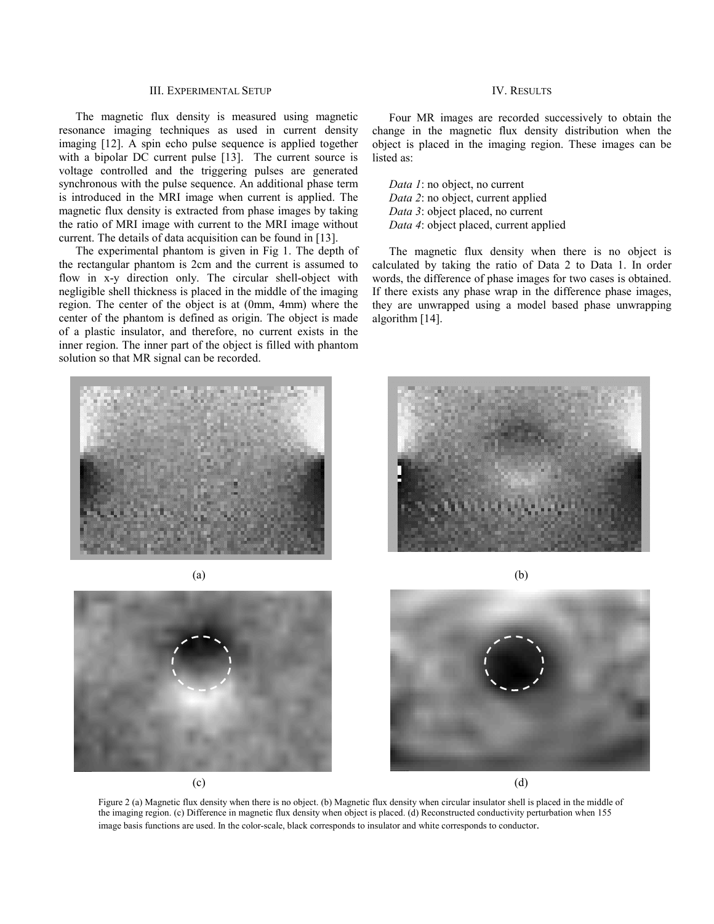## III. EXPERIMENTAL SETUP

 The magnetic flux density is measured using magnetic resonance imaging techniques as used in current density imaging [12]. A spin echo pulse sequence is applied together with a bipolar DC current pulse [13]. The current source is voltage controlled and the triggering pulses are generated synchronous with the pulse sequence. An additional phase term is introduced in the MRI image when current is applied. The magnetic flux density is extracted from phase images by taking the ratio of MRI image with current to the MRI image without current. The details of data acquisition can be found in [13].

The experimental phantom is given in Fig 1. The depth of the rectangular phantom is 2cm and the current is assumed to flow in x-y direction only. The circular shell-object with negligible shell thickness is placed in the middle of the imaging region. The center of the object is at (0mm, 4mm) where the center of the phantom is defined as origin. The object is made of a plastic insulator, and therefore, no current exists in the inner region. The inner part of the object is filled with phantom solution so that MR signal can be recorded.

# IV. RESULTS

 Four MR images are recorded successively to obtain the change in the magnetic flux density distribution when the object is placed in the imaging region. These images can be listed as:

*Data 1*: no object, no current *Data 2*: no object, current applied *Data 3*: object placed, no current *Data 4*: object placed, current applied

The magnetic flux density when there is no object is calculated by taking the ratio of Data 2 to Data 1. In order words, the difference of phase images for two cases is obtained. If there exists any phase wrap in the difference phase images, they are unwrapped using a model based phase unwrapping algorithm [14].











Figure 2 (a) Magnetic flux density when there is no object. (b) Magnetic flux density when circular insulator shell is placed in the middle of the imaging region. (c) Difference in magnetic flux density when object is placed. (d) Reconstructed conductivity perturbation when 155 image basis functions are used. In the color-scale, black corresponds to insulator and white corresponds to conductor.